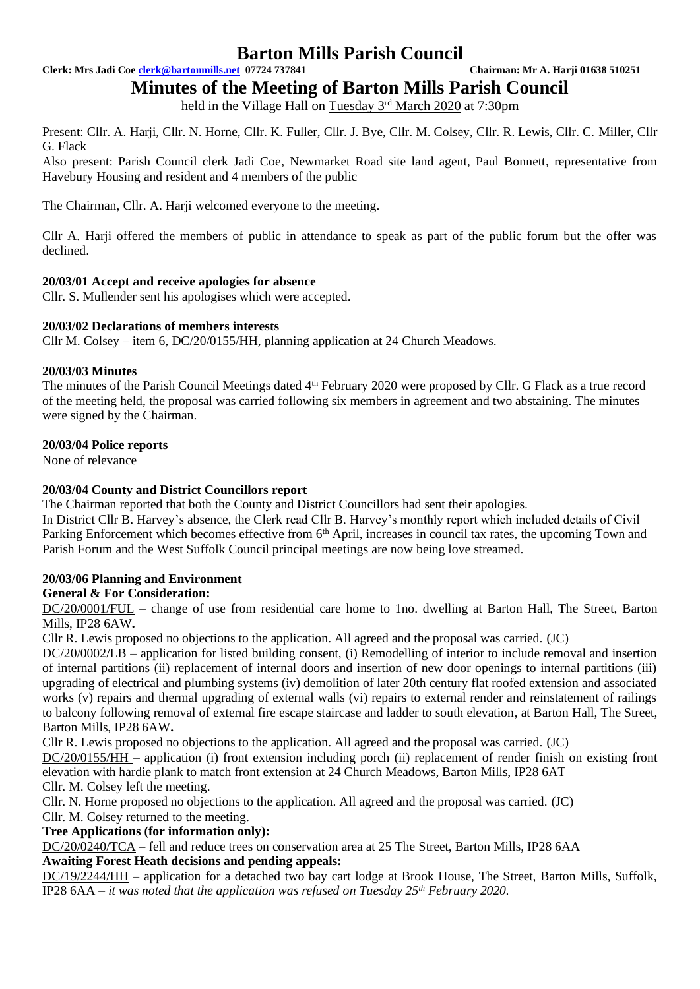**Clerk: Mrs Jadi Coe [clerk@bartonmills.net](mailto:clerk@bartonmills.net) 07724 737841 Chairman: Mr A. Harji 01638 510251**

**Minutes of the Meeting of Barton Mills Parish Council**

held in the Village Hall on Tuesday 3<sup>rd</sup> March 2020 at 7:30pm

Present: Cllr. A. Harji, Cllr. N. Horne, Cllr. K. Fuller, Cllr. J. Bye, Cllr. M. Colsey, Cllr. R. Lewis, Cllr. C. Miller, Cllr G. Flack

Also present: Parish Council clerk Jadi Coe, Newmarket Road site land agent, Paul Bonnett, representative from Havebury Housing and resident and 4 members of the public

The Chairman, Cllr. A. Harji welcomed everyone to the meeting.

Cllr A. Harji offered the members of public in attendance to speak as part of the public forum but the offer was declined.

#### **20/03/01 Accept and receive apologies for absence**

Cllr. S. Mullender sent his apologises which were accepted.

#### **20/03/02 Declarations of members interests**

Cllr M. Colsey – item 6, DC/20/0155/HH, planning application at 24 Church Meadows.

#### **20/03/03 Minutes**

The minutes of the Parish Council Meetings dated 4<sup>th</sup> February 2020 were proposed by Cllr. G Flack as a true record of the meeting held, the proposal was carried following six members in agreement and two abstaining. The minutes were signed by the Chairman.

#### **20/03/04 Police reports**

None of relevance

## **20/03/04 County and District Councillors report**

The Chairman reported that both the County and District Councillors had sent their apologies.

In District Cllr B. Harvey's absence, the Clerk read Cllr B. Harvey's monthly report which included details of Civil Parking Enforcement which becomes effective from 6<sup>th</sup> April, increases in council tax rates, the upcoming Town and Parish Forum and the West Suffolk Council principal meetings are now being love streamed.

## **20/03/06 Planning and Environment**

## **General & For Consideration:**

DC/20/0001/FUL – change of use from residential care home to 1no. dwelling at Barton Hall, The Street, Barton Mills, IP28 6AW**.**

Cllr R. Lewis proposed no objections to the application. All agreed and the proposal was carried. (JC)

DC/20/0002/LB – application for listed building consent, (i) Remodelling of interior to include removal and insertion of internal partitions (ii) replacement of internal doors and insertion of new door openings to internal partitions (iii) upgrading of electrical and plumbing systems (iv) demolition of later 20th century flat roofed extension and associated works (v) repairs and thermal upgrading of external walls (vi) repairs to external render and reinstatement of railings to balcony following removal of external fire escape staircase and ladder to south elevation, at Barton Hall, The Street, Barton Mills, IP28 6AW**.**

Cllr R. Lewis proposed no objections to the application. All agreed and the proposal was carried. (JC)

DC/20/0155/HH – application (i) front extension including porch (ii) replacement of render finish on existing front elevation with hardie plank to match front extension at 24 Church Meadows, Barton Mills, IP28 6AT Cllr. M. Colsey left the meeting.

Cllr. N. Horne proposed no objections to the application. All agreed and the proposal was carried. (JC)

Cllr. M. Colsey returned to the meeting.

## **Tree Applications (for information only):**

DC/20/0240/TCA – fell and reduce trees on conservation area at 25 The Street, Barton Mills, IP28 6AA **Awaiting Forest Heath decisions and pending appeals:**

DC/19/2244/HH – application for a detached two bay cart lodge at Brook House, The Street, Barton Mills, Suffolk, IP28 6AA – *it was noted that the application was refused on Tuesday 25th February 2020.*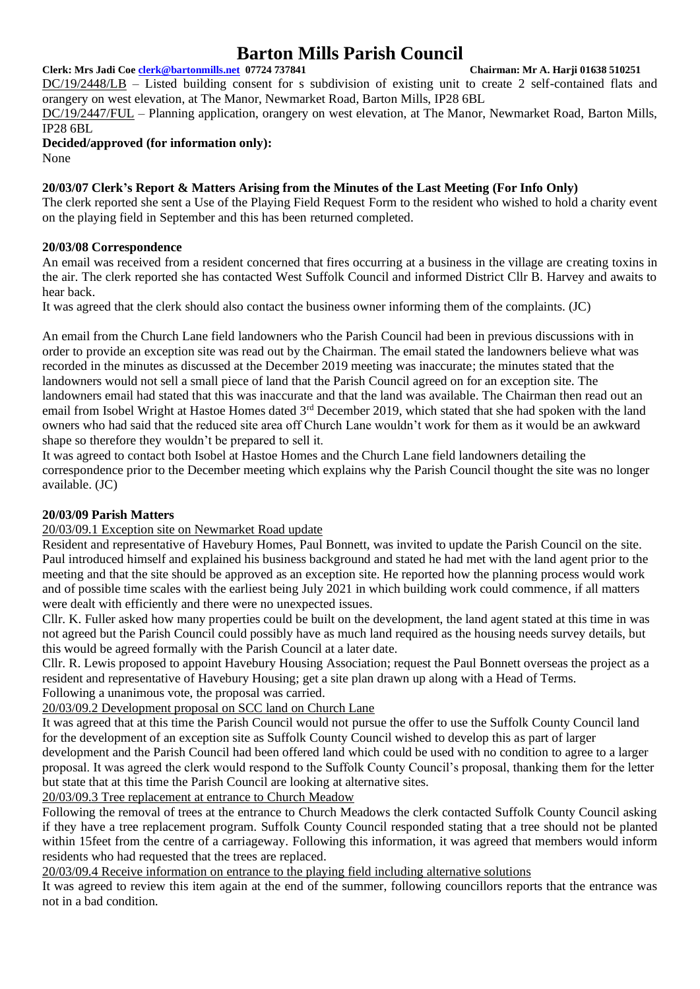#### **Clerk: Mrs Jadi Coe [clerk@bartonmills.net](mailto:clerk@bartonmills.net) 07724 737841 Chairman: Mr A. Harji 01638 510251**

DC/19/2448/LB – Listed building consent for s subdivision of existing unit to create 2 self-contained flats and orangery on west elevation, at The Manor, Newmarket Road, Barton Mills, IP28 6BL DC/19/2447/FUL – Planning application, orangery on west elevation, at The Manor, Newmarket Road, Barton Mills,

IP28 6BL

**Decided/approved (for information only):**

None

# **20/03/07 Clerk's Report & Matters Arising from the Minutes of the Last Meeting (For Info Only)**

The clerk reported she sent a Use of the Playing Field Request Form to the resident who wished to hold a charity event on the playing field in September and this has been returned completed.

## **20/03/08 Correspondence**

An email was received from a resident concerned that fires occurring at a business in the village are creating toxins in the air. The clerk reported she has contacted West Suffolk Council and informed District Cllr B. Harvey and awaits to hear back.

It was agreed that the clerk should also contact the business owner informing them of the complaints. (JC)

An email from the Church Lane field landowners who the Parish Council had been in previous discussions with in order to provide an exception site was read out by the Chairman. The email stated the landowners believe what was recorded in the minutes as discussed at the December 2019 meeting was inaccurate; the minutes stated that the landowners would not sell a small piece of land that the Parish Council agreed on for an exception site. The landowners email had stated that this was inaccurate and that the land was available. The Chairman then read out an email from Isobel Wright at Hastoe Homes dated 3<sup>rd</sup> December 2019, which stated that she had spoken with the land owners who had said that the reduced site area off Church Lane wouldn't work for them as it would be an awkward shape so therefore they wouldn't be prepared to sell it.

It was agreed to contact both Isobel at Hastoe Homes and the Church Lane field landowners detailing the correspondence prior to the December meeting which explains why the Parish Council thought the site was no longer available. (JC)

## **20/03/09 Parish Matters**

20/03/09.1 Exception site on Newmarket Road update

Resident and representative of Havebury Homes, Paul Bonnett, was invited to update the Parish Council on the site. Paul introduced himself and explained his business background and stated he had met with the land agent prior to the meeting and that the site should be approved as an exception site. He reported how the planning process would work and of possible time scales with the earliest being July 2021 in which building work could commence, if all matters were dealt with efficiently and there were no unexpected issues.

Cllr. K. Fuller asked how many properties could be built on the development, the land agent stated at this time in was not agreed but the Parish Council could possibly have as much land required as the housing needs survey details, but this would be agreed formally with the Parish Council at a later date.

Cllr. R. Lewis proposed to appoint Havebury Housing Association; request the Paul Bonnett overseas the project as a resident and representative of Havebury Housing; get a site plan drawn up along with a Head of Terms. Following a unanimous vote, the proposal was carried.

20/03/09.2 Development proposal on SCC land on Church Lane

It was agreed that at this time the Parish Council would not pursue the offer to use the Suffolk County Council land for the development of an exception site as Suffolk County Council wished to develop this as part of larger development and the Parish Council had been offered land which could be used with no condition to agree to a larger proposal. It was agreed the clerk would respond to the Suffolk County Council's proposal, thanking them for the letter but state that at this time the Parish Council are looking at alternative sites.

20/03/09.3 Tree replacement at entrance to Church Meadow

Following the removal of trees at the entrance to Church Meadows the clerk contacted Suffolk County Council asking if they have a tree replacement program. Suffolk County Council responded stating that a tree should not be planted within 15feet from the centre of a carriageway. Following this information, it was agreed that members would inform residents who had requested that the trees are replaced.

20/03/09.4 Receive information on entrance to the playing field including alternative solutions

It was agreed to review this item again at the end of the summer, following councillors reports that the entrance was not in a bad condition.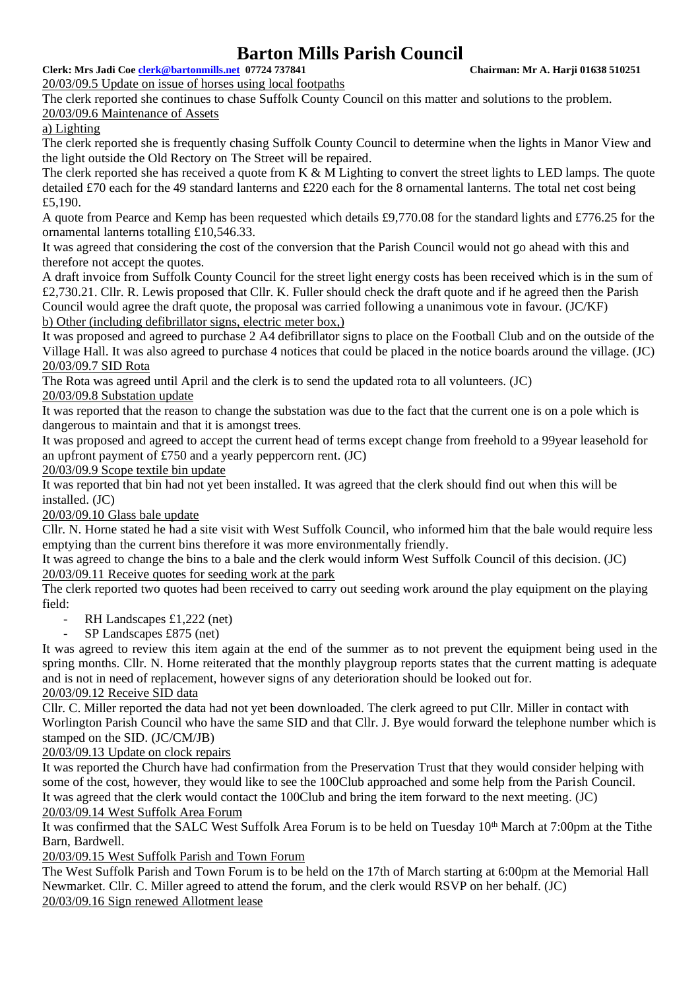**Clerk: Mrs Jadi Coe [clerk@bartonmills.net](mailto:clerk@bartonmills.net) 07724 737841 Chairman: Mr A. Harji 01638 510251**

20/03/09.5 Update on issue of horses using local footpaths

The clerk reported she continues to chase Suffolk County Council on this matter and solutions to the problem. 20/03/09.6 Maintenance of Assets

a) Lighting

The clerk reported she is frequently chasing Suffolk County Council to determine when the lights in Manor View and the light outside the Old Rectory on The Street will be repaired.

The clerk reported she has received a quote from K & M Lighting to convert the street lights to LED lamps. The quote detailed £70 each for the 49 standard lanterns and £220 each for the 8 ornamental lanterns. The total net cost being £5,190.

A quote from Pearce and Kemp has been requested which details £9,770.08 for the standard lights and £776.25 for the ornamental lanterns totalling £10,546.33.

It was agreed that considering the cost of the conversion that the Parish Council would not go ahead with this and therefore not accept the quotes.

A draft invoice from Suffolk County Council for the street light energy costs has been received which is in the sum of £2,730.21. Cllr. R. Lewis proposed that Cllr. K. Fuller should check the draft quote and if he agreed then the Parish Council would agree the draft quote, the proposal was carried following a unanimous vote in favour. (JC/KF) b) Other (including defibrillator signs, electric meter box,)

It was proposed and agreed to purchase 2 A4 defibrillator signs to place on the Football Club and on the outside of the Village Hall. It was also agreed to purchase 4 notices that could be placed in the notice boards around the village. (JC) 20/03/09.7 SID Rota

The Rota was agreed until April and the clerk is to send the updated rota to all volunteers. (JC) 20/03/09.8 Substation update

It was reported that the reason to change the substation was due to the fact that the current one is on a pole which is dangerous to maintain and that it is amongst trees.

It was proposed and agreed to accept the current head of terms except change from freehold to a 99year leasehold for an upfront payment of £750 and a yearly peppercorn rent. (JC)

20/03/09.9 Scope textile bin update

It was reported that bin had not yet been installed. It was agreed that the clerk should find out when this will be installed. (JC)

20/03/09.10 Glass bale update

Cllr. N. Horne stated he had a site visit with West Suffolk Council, who informed him that the bale would require less emptying than the current bins therefore it was more environmentally friendly.

It was agreed to change the bins to a bale and the clerk would inform West Suffolk Council of this decision. (JC) 20/03/09.11 Receive quotes for seeding work at the park

The clerk reported two quotes had been received to carry out seeding work around the play equipment on the playing field:

- RH Landscapes  $£1,222$  (net)
- SP Landscapes £875 (net)

It was agreed to review this item again at the end of the summer as to not prevent the equipment being used in the spring months. Cllr. N. Horne reiterated that the monthly playgroup reports states that the current matting is adequate and is not in need of replacement, however signs of any deterioration should be looked out for.

20/03/09.12 Receive SID data

Cllr. C. Miller reported the data had not yet been downloaded. The clerk agreed to put Cllr. Miller in contact with Worlington Parish Council who have the same SID and that Cllr. J. Bye would forward the telephone number which is stamped on the SID. (JC/CM/JB)

# 20/03/09.13 Update on clock repairs

It was reported the Church have had confirmation from the Preservation Trust that they would consider helping with some of the cost, however, they would like to see the 100Club approached and some help from the Parish Council. It was agreed that the clerk would contact the 100Club and bring the item forward to the next meeting. (JC) 20/03/09.14 West Suffolk Area Forum

It was confirmed that the SALC West Suffolk Area Forum is to be held on Tuesday 10<sup>th</sup> March at 7:00pm at the Tithe Barn, Bardwell.

20/03/09.15 West Suffolk Parish and Town Forum

The West Suffolk Parish and Town Forum is to be held on the 17th of March starting at 6:00pm at the Memorial Hall Newmarket. Cllr. C. Miller agreed to attend the forum, and the clerk would RSVP on her behalf. (JC) 20/03/09.16 Sign renewed Allotment lease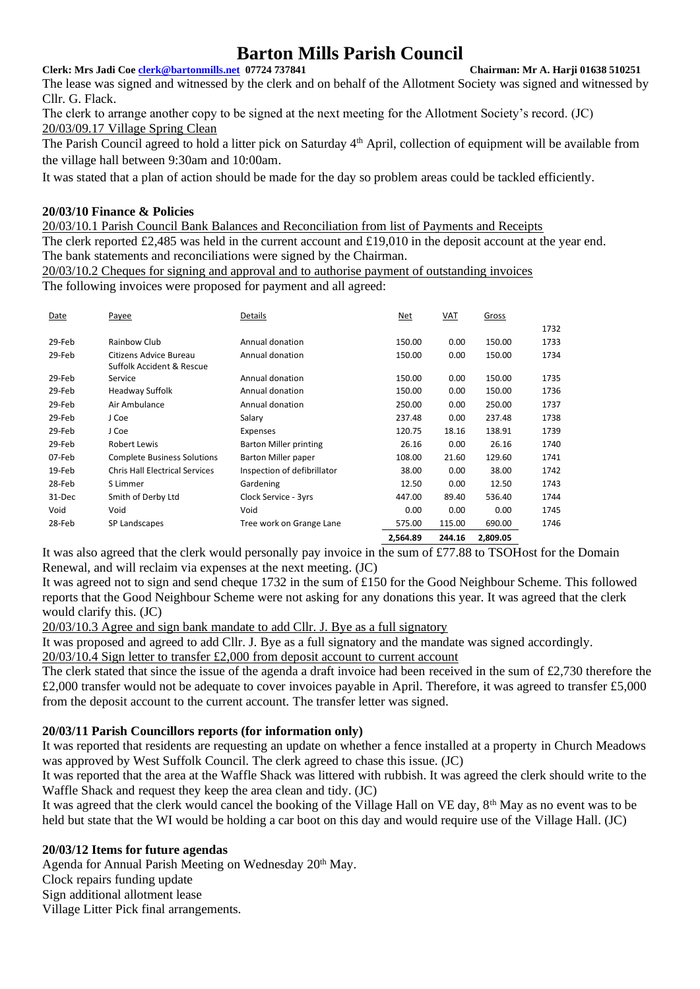#### **Clerk: Mrs Jadi Coe [clerk@bartonmills.net](mailto:clerk@bartonmills.net) 07724 737841 Chairman: Mr A. Harji 01638 510251**

The lease was signed and witnessed by the clerk and on behalf of the Allotment Society was signed and witnessed by Cllr. G. Flack.

The clerk to arrange another copy to be signed at the next meeting for the Allotment Society's record. (JC) 20/03/09.17 Village Spring Clean

The Parish Council agreed to hold a litter pick on Saturday 4<sup>th</sup> April, collection of equipment will be available from the village hall between 9:30am and 10:00am.

It was stated that a plan of action should be made for the day so problem areas could be tackled efficiently.

## **20/03/10 Finance & Policies**

20/03/10.1 Parish Council Bank Balances and Reconciliation from list of Payments and Receipts The clerk reported £2,485 was held in the current account and £19,010 in the deposit account at the year end. The bank statements and reconciliations were signed by the Chairman.

20/03/10.2 Cheques for signing and approval and to authorise payment of outstanding invoices

The following invoices were proposed for payment and all agreed:

| Date   | Payee                                 | Details                       | Net      | VAT    | Gross    |      |
|--------|---------------------------------------|-------------------------------|----------|--------|----------|------|
|        |                                       |                               |          |        |          | 1732 |
| 29-Feb | Rainbow Club                          | Annual donation               | 150.00   | 0.00   | 150.00   | 1733 |
| 29-Feb | Citizens Advice Bureau                | Annual donation               | 150.00   | 0.00   | 150.00   | 1734 |
|        | Suffolk Accident & Rescue             |                               |          |        |          |      |
| 29-Feb | Service                               | Annual donation               | 150.00   | 0.00   | 150.00   | 1735 |
| 29-Feb | Headway Suffolk                       | Annual donation               | 150.00   | 0.00   | 150.00   | 1736 |
| 29-Feb | Air Ambulance                         | Annual donation               | 250.00   | 0.00   | 250.00   | 1737 |
| 29-Feb | J Coe                                 | Salary                        | 237.48   | 0.00   | 237.48   | 1738 |
| 29-Feb | J Coe                                 | Expenses                      | 120.75   | 18.16  | 138.91   | 1739 |
| 29-Feb | <b>Robert Lewis</b>                   | <b>Barton Miller printing</b> | 26.16    | 0.00   | 26.16    | 1740 |
| 07-Feb | <b>Complete Business Solutions</b>    | Barton Miller paper           | 108.00   | 21.60  | 129.60   | 1741 |
| 19-Feb | <b>Chris Hall Electrical Services</b> | Inspection of defibrillator   | 38.00    | 0.00   | 38.00    | 1742 |
| 28-Feb | S Limmer                              | Gardening                     | 12.50    | 0.00   | 12.50    | 1743 |
| 31-Dec | Smith of Derby Ltd                    | Clock Service - 3yrs          | 447.00   | 89.40  | 536.40   | 1744 |
| Void   | Void                                  | Void                          | 0.00     | 0.00   | 0.00     | 1745 |
| 28-Feb | SP Landscapes                         | Tree work on Grange Lane      | 575.00   | 115.00 | 690.00   | 1746 |
|        |                                       |                               | 2,564.89 | 244.16 | 2,809.05 |      |

It was also agreed that the clerk would personally pay invoice in the sum of £77.88 to TSOHost for the Domain Renewal, and will reclaim via expenses at the next meeting. (JC)

It was agreed not to sign and send cheque 1732 in the sum of £150 for the Good Neighbour Scheme. This followed reports that the Good Neighbour Scheme were not asking for any donations this year. It was agreed that the clerk would clarify this. (JC)

20/03/10.3 Agree and sign bank mandate to add Cllr. J. Bye as a full signatory

It was proposed and agreed to add Cllr. J. Bye as a full signatory and the mandate was signed accordingly.

20/03/10.4 Sign letter to transfer £2,000 from deposit account to current account

The clerk stated that since the issue of the agenda a draft invoice had been received in the sum of £2,730 therefore the £2,000 transfer would not be adequate to cover invoices payable in April. Therefore, it was agreed to transfer £5,000 from the deposit account to the current account. The transfer letter was signed.

## **20/03/11 Parish Councillors reports (for information only)**

It was reported that residents are requesting an update on whether a fence installed at a property in Church Meadows was approved by West Suffolk Council. The clerk agreed to chase this issue. (JC)

It was reported that the area at the Waffle Shack was littered with rubbish. It was agreed the clerk should write to the Waffle Shack and request they keep the area clean and tidy. (JC)

It was agreed that the clerk would cancel the booking of the Village Hall on VE day, 8<sup>th</sup> May as no event was to be held but state that the WI would be holding a car boot on this day and would require use of the Village Hall. (JC)

## **20/03/12 Items for future agendas**

Agenda for Annual Parish Meeting on Wednesday 20<sup>th</sup> May. Clock repairs funding update Sign additional allotment lease Village Litter Pick final arrangements.